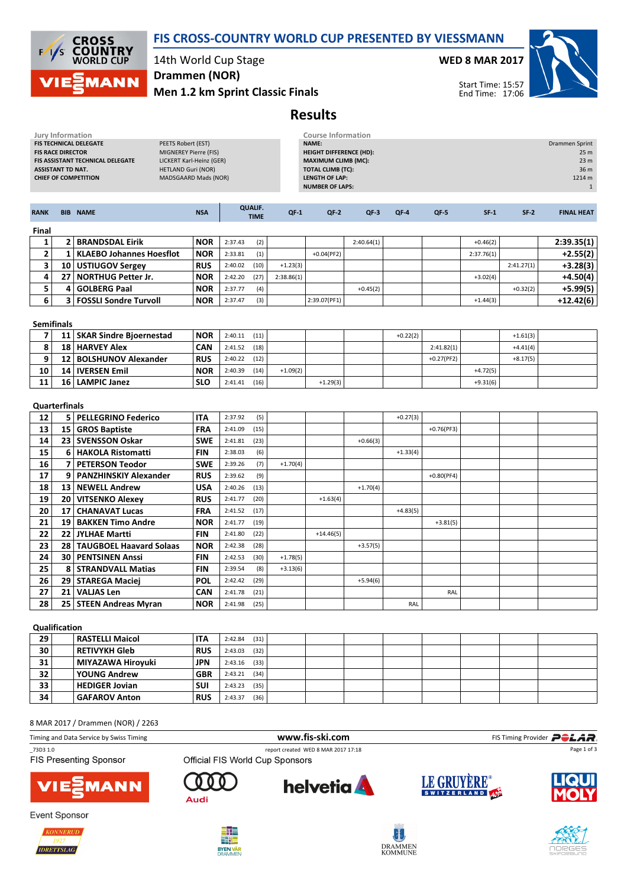



14th World Cup Stage Drammen (NOR)

Men 1.2 km Sprint Classic Finals

WED 8 MAR 2017



Start Time: 15:57 End Time: 17:06

# Results

| Jury Information                                                                                                                                                  |                          |                                 |                           |         | <b>Course Information</b>                                                               |            |                          |            |            |              |            |            |                         |
|-------------------------------------------------------------------------------------------------------------------------------------------------------------------|--------------------------|---------------------------------|---------------------------|---------|-----------------------------------------------------------------------------------------|------------|--------------------------|------------|------------|--------------|------------|------------|-------------------------|
| FIS TECHNICAL DELEGATE<br>PEETS Robert (EST)<br><b>FIS RACE DIRECTOR</b><br>MIGNEREY Pierre (FIS)<br>LICKERT Karl-Heinz (GER)<br>FIS ASSISTANT TECHNICAL DELEGATE |                          |                                 |                           |         | NAME:<br>Drammen Sprint<br><b>HEIGHT DIFFERENCE (HD):</b><br><b>MAXIMUM CLIMB (MC):</b> |            |                          |            |            |              |            |            |                         |
|                                                                                                                                                                   | <b>ASSISTANT TD NAT.</b> |                                 | <b>HETLAND Guri (NOR)</b> |         |                                                                                         |            | <b>TOTAL CLIMB (TC):</b> |            |            |              |            |            | 23 <sub>m</sub><br>36 m |
|                                                                                                                                                                   |                          | <b>CHIEF OF COMPETITION</b>     | MADSGAARD Mads (NOR)      |         |                                                                                         |            | <b>LENGTH OF LAP:</b>    |            |            |              |            |            | 1214 m                  |
|                                                                                                                                                                   |                          |                                 |                           |         |                                                                                         |            | <b>NUMBER OF LAPS:</b>   |            |            |              |            |            | $\mathbf{1}$            |
|                                                                                                                                                                   |                          |                                 |                           |         |                                                                                         |            |                          |            |            |              |            |            |                         |
| <b>RANK</b>                                                                                                                                                       |                          | <b>BIB NAME</b>                 | <b>NSA</b>                |         | <b>QUALIF.</b><br><b>TIME</b>                                                           | $QF-1$     | $QF-2$                   | $QF-3$     | $QF-4$     | QF-5         | $SF-1$     | $SF-2$     | <b>FINAL HEAT</b>       |
| Final                                                                                                                                                             |                          |                                 |                           |         |                                                                                         |            |                          |            |            |              |            |            |                         |
| 1                                                                                                                                                                 | 2 <sup>1</sup>           | <b>BRANDSDAL Eirik</b>          | <b>NOR</b>                | 2:37.43 | (2)                                                                                     |            |                          | 2:40.64(1) |            |              | $+0.46(2)$ |            | 2:39.35(1)              |
| $\mathbf{2}$                                                                                                                                                      | $1\vert$                 | <b>KLAEBO Johannes Hoesflot</b> | <b>NOR</b>                | 2:33.81 | (1)                                                                                     |            | $+0.04(PF2)$             |            |            |              | 2:37.76(1) |            | $+2.55(2)$              |
| 3                                                                                                                                                                 |                          | 10 USTIUGOV Sergey              | <b>RUS</b>                | 2:40.02 | (10)                                                                                    | $+1.23(3)$ |                          |            |            |              |            | 2:41.27(1) | $+3.28(3)$              |
| 4                                                                                                                                                                 |                          | 27   NORTHUG Petter Jr.         | <b>NOR</b>                | 2:42.20 | (27)                                                                                    | 2:38.86(1) |                          |            |            |              | $+3.02(4)$ |            | $+4.50(4)$              |
| 5                                                                                                                                                                 | 4                        | <b>GOLBERG Paal</b>             | <b>NOR</b>                | 2:37.77 | (4)                                                                                     |            |                          | $+0.45(2)$ |            |              |            | $+0.32(2)$ | $+5.99(5)$              |
| 6                                                                                                                                                                 | $\overline{\mathbf{3}}$  | <b>FOSSLI Sondre Turvoll</b>    | <b>NOR</b>                | 2:37.47 | (3)                                                                                     |            | 2:39.07(PF1)             |            |            |              | $+1.44(3)$ |            | $+12.42(6)$             |
|                                                                                                                                                                   |                          |                                 |                           |         |                                                                                         |            |                          |            |            |              |            |            |                         |
| <b>Semifinals</b>                                                                                                                                                 |                          |                                 |                           |         |                                                                                         |            |                          |            |            |              |            |            |                         |
| $\overline{7}$                                                                                                                                                    |                          | 11   SKAR Sindre Bjoernestad    | <b>NOR</b>                | 2:40.11 | (11)                                                                                    |            |                          |            | $+0.22(2)$ |              |            | $+1.61(3)$ |                         |
| 8                                                                                                                                                                 |                          | 18   HARVEY Alex                | <b>CAN</b>                | 2:41.52 | (18)                                                                                    |            |                          |            |            | 2:41.82(1)   |            | $+4.41(4)$ |                         |
| 9                                                                                                                                                                 | 12                       | <b>BOLSHUNOV Alexander</b>      | <b>RUS</b>                | 2:40.22 | (12)                                                                                    |            |                          |            |            | $+0.27(PF2)$ |            | $+8.17(5)$ |                         |
| 10                                                                                                                                                                |                          | 14   IVERSEN Emil               | <b>NOR</b>                | 2:40.39 | (14)                                                                                    | $+1.09(2)$ |                          |            |            |              | $+4.72(5)$ |            |                         |
| 11                                                                                                                                                                | 16 <sup>1</sup>          | <b>LAMPIC Janez</b>             | <b>SLO</b>                | 2:41.41 | (16)                                                                                    |            | $+1.29(3)$               |            |            |              | $+9.31(6)$ |            |                         |
|                                                                                                                                                                   |                          |                                 |                           |         |                                                                                         |            |                          |            |            |              |            |            |                         |
|                                                                                                                                                                   | <b>Quarterfinals</b>     |                                 |                           |         |                                                                                         |            |                          |            |            |              |            |            |                         |
| 12                                                                                                                                                                |                          | 5   PELLEGRINO Federico         | <b>ITA</b>                | 2:37.92 | (5)                                                                                     |            |                          |            | $+0.27(3)$ |              |            |            |                         |
| 13                                                                                                                                                                |                          | 15 GROS Baptiste                | <b>FRA</b>                | 2:41.09 | (15)                                                                                    |            |                          |            |            | $+0.76(PF3)$ |            |            |                         |
| 14                                                                                                                                                                |                          | 23   SVENSSON Oskar             | <b>SWE</b>                | 2:41.81 | (23)                                                                                    |            |                          | $+0.66(3)$ |            |              |            |            |                         |
| 15                                                                                                                                                                | 6                        | <b>HAKOLA Ristomatti</b>        | <b>FIN</b>                | 2:38.03 | (6)                                                                                     |            |                          |            | $+1.33(4)$ |              |            |            |                         |
| 16                                                                                                                                                                | $\overline{ }$           | <b>PETERSON Teodor</b>          | <b>SWE</b>                | 2:39.26 | (7)                                                                                     | $+1.70(4)$ |                          |            |            |              |            |            |                         |
| 17                                                                                                                                                                | 9                        | <b>PANZHINSKIY Alexander</b>    | <b>RUS</b>                | 2:39.62 | (9)                                                                                     |            |                          |            |            | $+0.80(PF4)$ |            |            |                         |
| 18                                                                                                                                                                | 13                       | <b>NEWELL Andrew</b>            | <b>USA</b>                | 2:40.26 | (13)                                                                                    |            |                          | $+1.70(4)$ |            |              |            |            |                         |
| 19                                                                                                                                                                | 20 <sub>1</sub>          | <b>VITSENKO Alexey</b>          | <b>RUS</b>                | 2:41.77 | (20)                                                                                    |            | $+1.63(4)$               |            |            |              |            |            |                         |
| 20                                                                                                                                                                | 17                       | <b>CHANAVAT Lucas</b>           | <b>FRA</b>                | 2:41.52 | (17)                                                                                    |            |                          |            | $+4.83(5)$ |              |            |            |                         |
| 21                                                                                                                                                                | 19 <sup>°</sup>          | <b>BAKKEN Timo Andre</b>        | <b>NOR</b>                | 2:41.77 | (19)                                                                                    |            |                          |            |            | $+3.81(5)$   |            |            |                         |
| 22                                                                                                                                                                |                          | 22 JYLHAE Martti                | <b>FIN</b>                | 2:41.80 | (22)                                                                                    |            | $+14.46(5)$              |            |            |              |            |            |                         |
| 23                                                                                                                                                                |                          | 28 TAUGBOEL Haavard Solaas      | <b>NOR</b>                | 2:42.38 | (28)                                                                                    |            |                          | $+3.57(5)$ |            |              |            |            |                         |
| 24                                                                                                                                                                | 30 <sup>1</sup>          | <b>PENTSINEN Anssi</b>          | <b>FIN</b>                | 2:42.53 | (30)                                                                                    | $+1.78(5)$ |                          |            |            |              |            |            |                         |
| 25                                                                                                                                                                |                          | 8 STRANDVALL Matias             | <b>FIN</b>                | 2:39.54 | (8)                                                                                     | $+3.13(6)$ |                          |            |            |              |            |            |                         |
| 26                                                                                                                                                                |                          | 29   STAREGA Maciei             | <b>POL</b>                | 2:42.42 | (29)                                                                                    |            |                          | $+5.94(6)$ |            |              |            |            |                         |
| 27                                                                                                                                                                | 21                       | <b>VALJAS Len</b>               | <b>CAN</b>                | 2:41.78 | (21)                                                                                    |            |                          |            |            | RAL          |            |            |                         |
| 28                                                                                                                                                                |                          | 25 STEEN Andreas Myran          | <b>NOR</b>                | 2:41.98 | (25)                                                                                    |            |                          |            | RAL        |              |            |            |                         |

# Qualification

| 29 <sup>1</sup> | RASTELLI Maicol      | <b>ITA</b> | $2:42.84$ (31) |      |  |  |  |  |
|-----------------|----------------------|------------|----------------|------|--|--|--|--|
| 30 <sup>1</sup> | <b>RETIVYKH Gleb</b> | <b>RUS</b> | $2:43.03$ (32) |      |  |  |  |  |
| 31              | MIYAZAWA Hiroyuki    | <b>JPN</b> | 2:43.16        | (33) |  |  |  |  |
| 32              | <b>YOUNG Andrew</b>  | <b>GBR</b> | $2:43.21$ (34) |      |  |  |  |  |
| 33              | HEDIGER Jovian       | <b>SUI</b> | 2:43.23        | (35) |  |  |  |  |
| 34 <sub>1</sub> | <b>GAFAROV Anton</b> | <b>RUS</b> | 2:43.37        | (36) |  |  |  |  |

8 MAR 2017 / Drammen (NOR) / 2263

| Timing and Data Service by Swiss Timing    |                                 | www.fis-ski.com                     |             | FIS Timing Provider <b>POLAR</b> |  |  |
|--------------------------------------------|---------------------------------|-------------------------------------|-------------|----------------------------------|--|--|
| _73D3 1.0<br><b>FIS Presenting Sponsor</b> | Official FIS World Cup Sponsors | report created WED 8 MAR 2017 17:18 |             | Page 1 of 3                      |  |  |
| <b>VIE MANN</b>                            | $000$<br>Audi                   | <b>helvetia</b>                     | LE GRUYERE® | <b>LIQUI</b>                     |  |  |











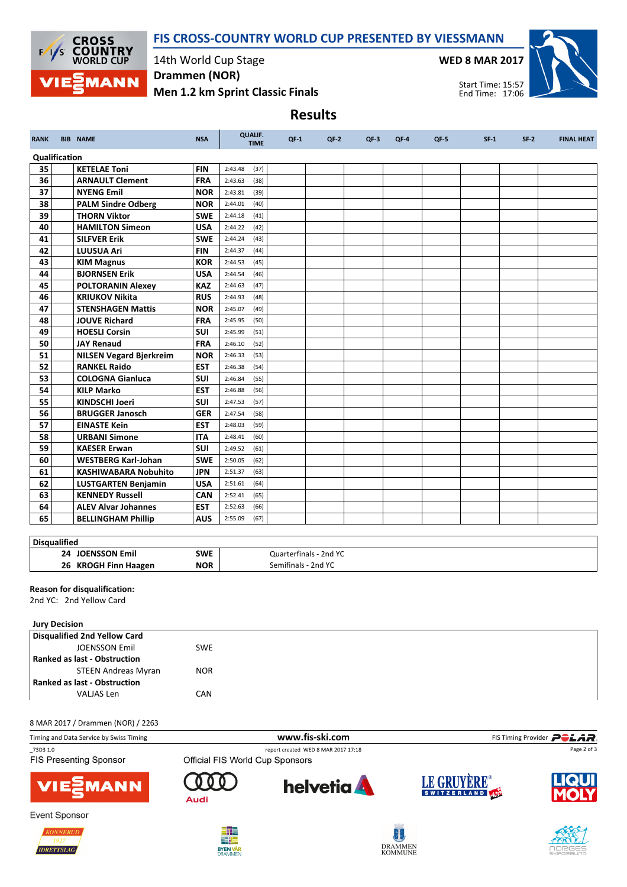



14th World Cup Stage Drammen (NOR)

Men 1.2 km Sprint Classic Finals

WED 8 MAR 2017



Start Time: 15:57 End Time: 17:06

|               |                                |            |                               |        | <b>Results</b> |        |        |        |        |        |                   |
|---------------|--------------------------------|------------|-------------------------------|--------|----------------|--------|--------|--------|--------|--------|-------------------|
| <b>RANK</b>   | <b>BIB NAME</b>                | <b>NSA</b> | <b>QUALIF.</b><br><b>TIME</b> | $OF-1$ | $QF-2$         | $QF-3$ | $QF-4$ | $QF-5$ | $SF-1$ | $SF-2$ | <b>FINAL HEAT</b> |
| Qualification |                                |            |                               |        |                |        |        |        |        |        |                   |
| 35            | <b>KETELAE Toni</b>            | <b>FIN</b> | 2:43.48<br>(37)               |        |                |        |        |        |        |        |                   |
| 36            | <b>ARNAULT Clement</b>         | <b>FRA</b> | 2:43.63<br>(38)               |        |                |        |        |        |        |        |                   |
| 37            | <b>NYENG Emil</b>              | <b>NOR</b> | 2:43.81<br>(39)               |        |                |        |        |        |        |        |                   |
| 38            | <b>PALM Sindre Odberg</b>      | <b>NOR</b> | 2:44.01<br>(40)               |        |                |        |        |        |        |        |                   |
| 39            | <b>THORN Viktor</b>            | <b>SWE</b> | 2:44.18<br>(41)               |        |                |        |        |        |        |        |                   |
| 40            | <b>HAMILTON Simeon</b>         | <b>USA</b> | 2:44.22<br>(42)               |        |                |        |        |        |        |        |                   |
| 41            | <b>SILFVER Erik</b>            | <b>SWE</b> | 2:44.24<br>(43)               |        |                |        |        |        |        |        |                   |
| 42            | <b>LUUSUA Ari</b>              | <b>FIN</b> | 2:44.37<br>(44)               |        |                |        |        |        |        |        |                   |
| 43            | <b>KIM Magnus</b>              | <b>KOR</b> | 2:44.53<br>(45)               |        |                |        |        |        |        |        |                   |
| 44            | <b>BJORNSEN Erik</b>           | <b>USA</b> | 2:44.54<br>(46)               |        |                |        |        |        |        |        |                   |
| 45            | <b>POLTORANIN Alexey</b>       | <b>KAZ</b> | 2:44.63<br>(47)               |        |                |        |        |        |        |        |                   |
| 46            | <b>KRIUKOV Nikita</b>          | <b>RUS</b> | 2:44.93<br>(48)               |        |                |        |        |        |        |        |                   |
| 47            | <b>STENSHAGEN Mattis</b>       | <b>NOR</b> | 2:45.07<br>(49)               |        |                |        |        |        |        |        |                   |
| 48            | <b>JOUVE Richard</b>           | <b>FRA</b> | 2:45.95<br>(50)               |        |                |        |        |        |        |        |                   |
| 49            | <b>HOESLI Corsin</b>           | SUI        | 2:45.99<br>(51)               |        |                |        |        |        |        |        |                   |
| 50            | <b>JAY Renaud</b>              | <b>FRA</b> | 2:46.10<br>(52)               |        |                |        |        |        |        |        |                   |
| 51            | <b>NILSEN Vegard Bjerkreim</b> | <b>NOR</b> | 2:46.33<br>(53)               |        |                |        |        |        |        |        |                   |
| 52            | <b>RANKEL Raido</b>            | <b>EST</b> | 2:46.38<br>(54)               |        |                |        |        |        |        |        |                   |
| 53            | <b>COLOGNA Gianluca</b>        | <b>SUI</b> | 2:46.84<br>(55)               |        |                |        |        |        |        |        |                   |
| 54            | <b>KILP Marko</b>              | <b>EST</b> | 2:46.88<br>(56)               |        |                |        |        |        |        |        |                   |
| 55            | <b>KINDSCHI Joeri</b>          | <b>SUI</b> | 2:47.53<br>(57)               |        |                |        |        |        |        |        |                   |
| 56            | <b>BRUGGER Janosch</b>         | <b>GER</b> | 2:47.54<br>(58)               |        |                |        |        |        |        |        |                   |
| 57            | <b>EINASTE Kein</b>            | <b>EST</b> | 2:48.03<br>(59)               |        |                |        |        |        |        |        |                   |
| 58            | <b>URBANI Simone</b>           | <b>ITA</b> | 2:48.41<br>(60)               |        |                |        |        |        |        |        |                   |
| 59            | <b>KAESER Erwan</b>            | SUI        | 2:49.52<br>(61)               |        |                |        |        |        |        |        |                   |
| 60            | <b>WESTBERG Karl-Johan</b>     | <b>SWE</b> | 2:50.05<br>(62)               |        |                |        |        |        |        |        |                   |
| 61            | <b>KASHIWABARA Nobuhito</b>    | <b>JPN</b> | 2:51.37<br>(63)               |        |                |        |        |        |        |        |                   |
| 62            | <b>LUSTGARTEN Benjamin</b>     | <b>USA</b> | 2:51.61<br>(64)               |        |                |        |        |        |        |        |                   |
| 63            | <b>KENNEDY Russell</b>         | CAN        | 2:52.41<br>(65)               |        |                |        |        |        |        |        |                   |
| 64            | <b>ALEV Alvar Johannes</b>     | <b>EST</b> | 2:52.63<br>(66)               |        |                |        |        |        |        |        |                   |
| 65            | <b>BELLINGHAM Phillip</b>      | <b>AUS</b> | 2:55.09<br>(67)               |        |                |        |        |        |        |        |                   |

# **Disqualified**

| ---------------                        |                   |                                    |
|----------------------------------------|-------------------|------------------------------------|
| 24<br>'NI<br>:mii                      | <b>SWE</b><br>___ | .<br>Quarterfinals<br>2nd YC       |
| 26<br>КR<br>Finr<br><b>Haagen</b><br>. | NOR               | 2nd YC<br>סו בר<br>91 I I I<br>нак |
|                                        |                   |                                    |

# Reason for disqualification:

2nd YC: 2nd Yellow Card

#### Jury Decision

| Disqualified 2nd Yellow Card        |            |  |
|-------------------------------------|------------|--|
| <b>JOENSSON Emil</b>                | <b>SWE</b> |  |
| <b>Ranked as last - Obstruction</b> |            |  |
| <b>STEEN Andreas Myran</b>          | <b>NOR</b> |  |
| <b>Ranked as last - Obstruction</b> |            |  |
| VALJAS Len                          | CAN        |  |

### 8 MAR 2017 / Drammen (NOR) / 2263

| Timing and Data Service by Swiss Timing |                                 | www.fis-ski.com                     |             | FIS Timing Provider <b>POLAR</b> |  |  |  |
|-----------------------------------------|---------------------------------|-------------------------------------|-------------|----------------------------------|--|--|--|
| 73D3 1.0                                |                                 | report created WED 8 MAR 2017 17:18 | Page 2 of 3 |                                  |  |  |  |
| <b>FIS Presenting Sponsor</b>           | Official FIS World Cup Sponsors |                                     |             |                                  |  |  |  |
| <b>VIE EMANN</b>                        | Audi                            | <b>helvetia</b>                     | LE GRUYERE® | <b>LIQUI</b>                     |  |  |  |